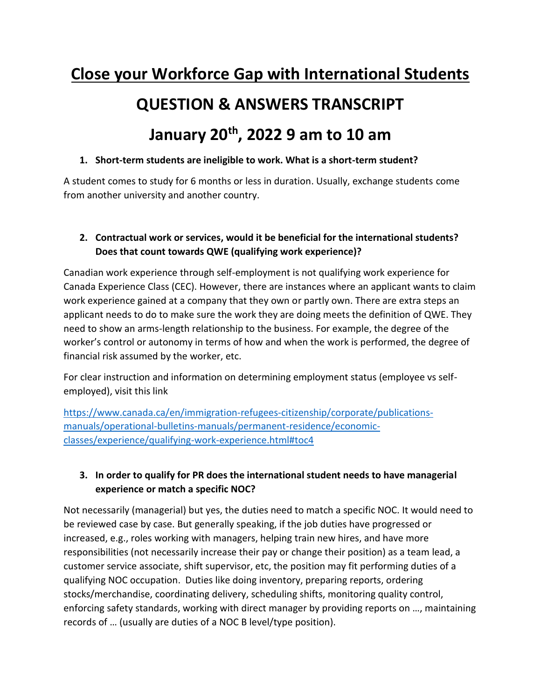# **Close your Workforce Gap with International Students**

# **QUESTION & ANSWERS TRANSCRIPT**

# **January 20th, 2022 9 am to 10 am**

### **1. Short-term students are ineligible to work. What is a short-term student?**

A student comes to study for 6 months or less in duration. Usually, exchange students come from another university and another country.

### **2. Contractual work or services, would it be beneficial for the international students? Does that count towards QWE (qualifying work experience)?**

Canadian work experience through self-employment is not qualifying work experience for Canada Experience Class (CEC). However, there are instances where an applicant wants to claim work experience gained at a company that they own or partly own. There are extra steps an applicant needs to do to make sure the work they are doing meets the definition of QWE. They need to show an arms-length relationship to the business. For example, the degree of the worker's control or autonomy in terms of how and when the work is performed, the degree of financial risk assumed by the worker, etc.

For clear instruction and information on determining employment status (employee vs selfemployed), visit this link

[https://www.canada.ca/en/immigration-refugees-citizenship/corporate/publications](https://www.canada.ca/en/immigration-refugees-citizenship/corporate/publications-manuals/operational-bulletins-manuals/permanent-residence/economic-classes/experience/qualifying-work-experience.html#toc4)[manuals/operational-bulletins-manuals/permanent-residence/economic](https://www.canada.ca/en/immigration-refugees-citizenship/corporate/publications-manuals/operational-bulletins-manuals/permanent-residence/economic-classes/experience/qualifying-work-experience.html#toc4)[classes/experience/qualifying-work-experience.html#toc4](https://www.canada.ca/en/immigration-refugees-citizenship/corporate/publications-manuals/operational-bulletins-manuals/permanent-residence/economic-classes/experience/qualifying-work-experience.html#toc4) 

## **3. In order to qualify for PR does the international student needs to have managerial experience or match a specific NOC?**

Not necessarily (managerial) but yes, the duties need to match a specific NOC. It would need to be reviewed case by case. But generally speaking, if the job duties have progressed or increased, e.g., roles working with managers, helping train new hires, and have more responsibilities (not necessarily increase their pay or change their position) as a team lead, a customer service associate, shift supervisor, etc, the position may fit performing duties of a qualifying NOC occupation. Duties like doing inventory, preparing reports, ordering stocks/merchandise, coordinating delivery, scheduling shifts, monitoring quality control, enforcing safety standards, working with direct manager by providing reports on …, maintaining records of … (usually are duties of a NOC B level/type position).